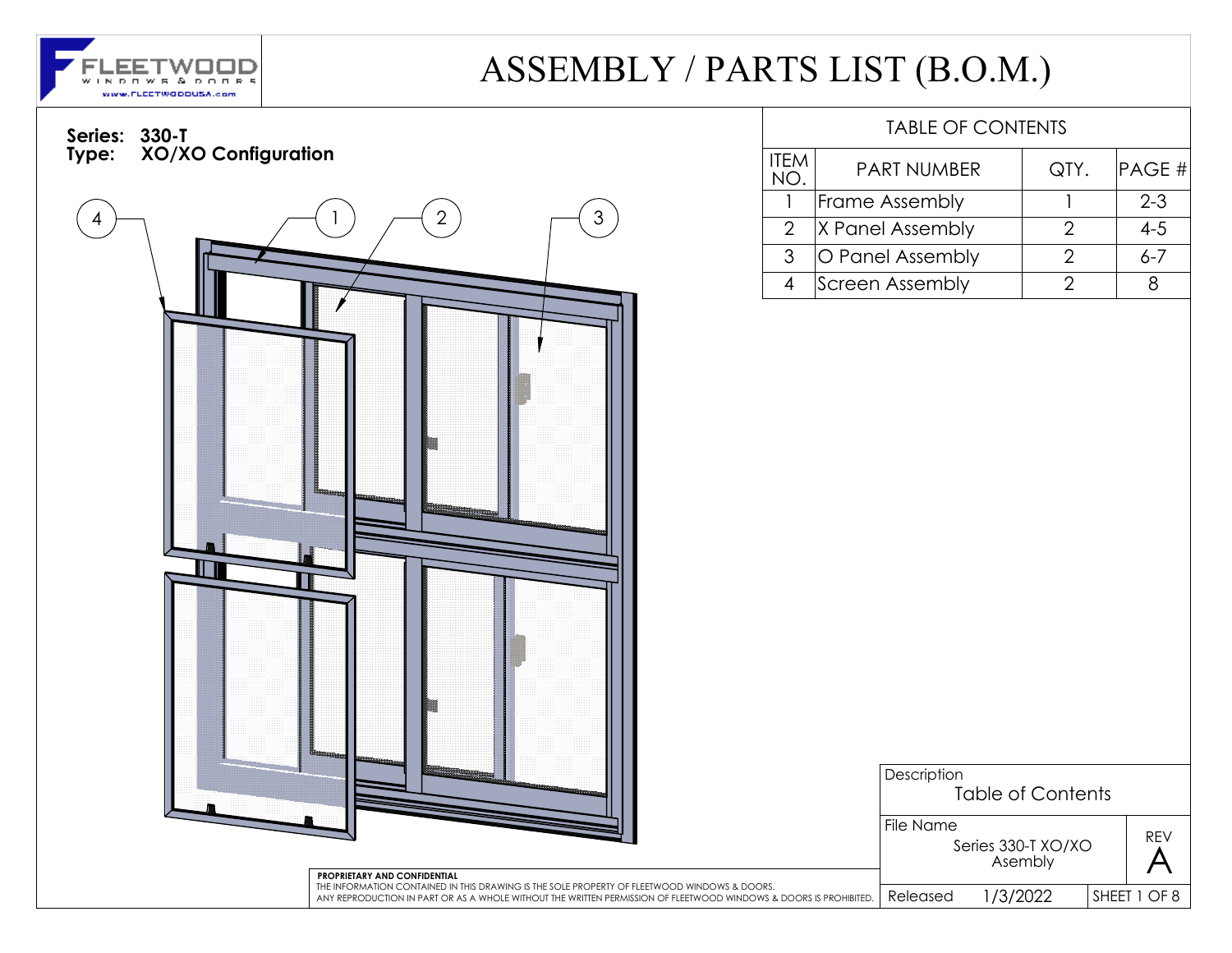

SHEET 1 OF 8

REV

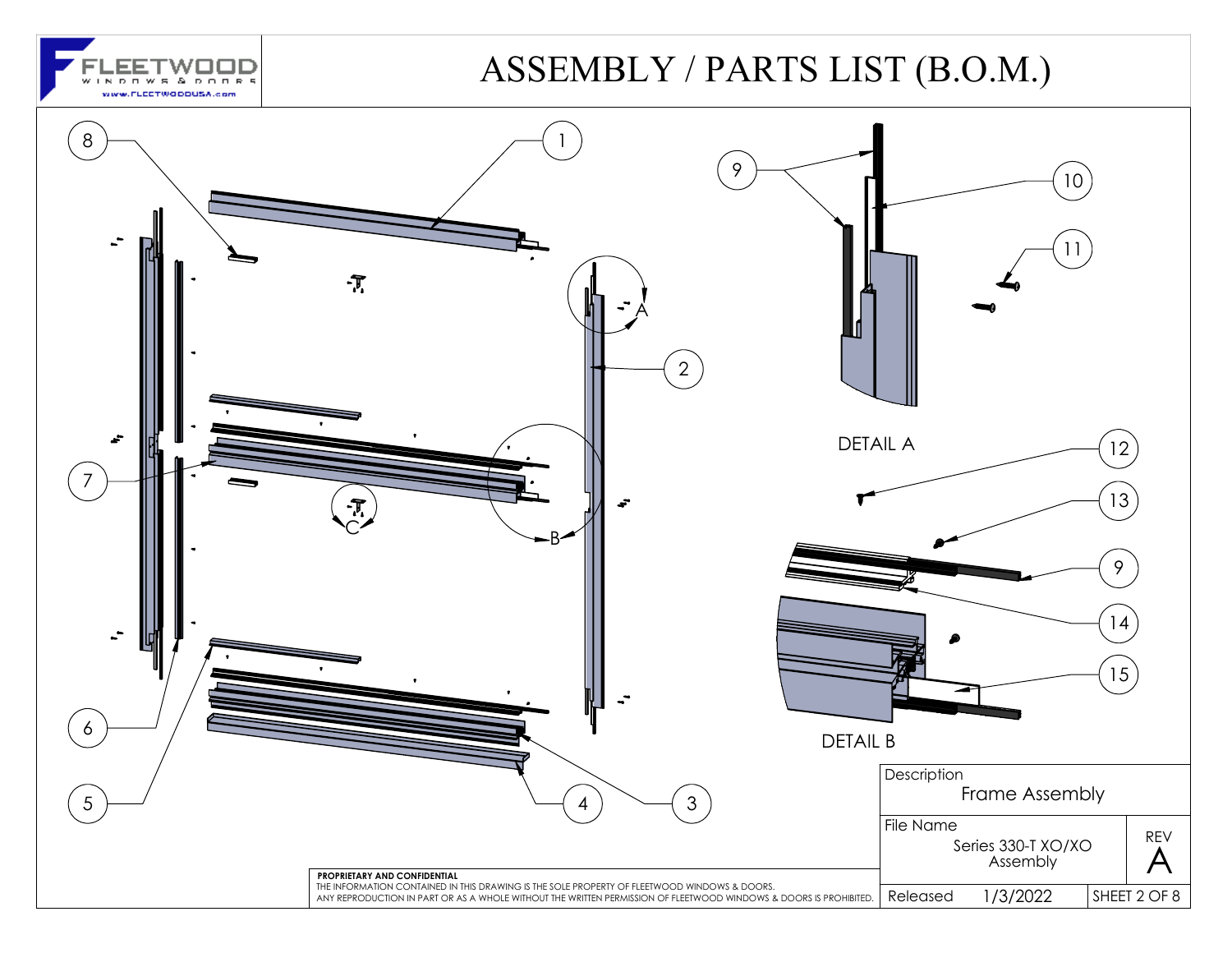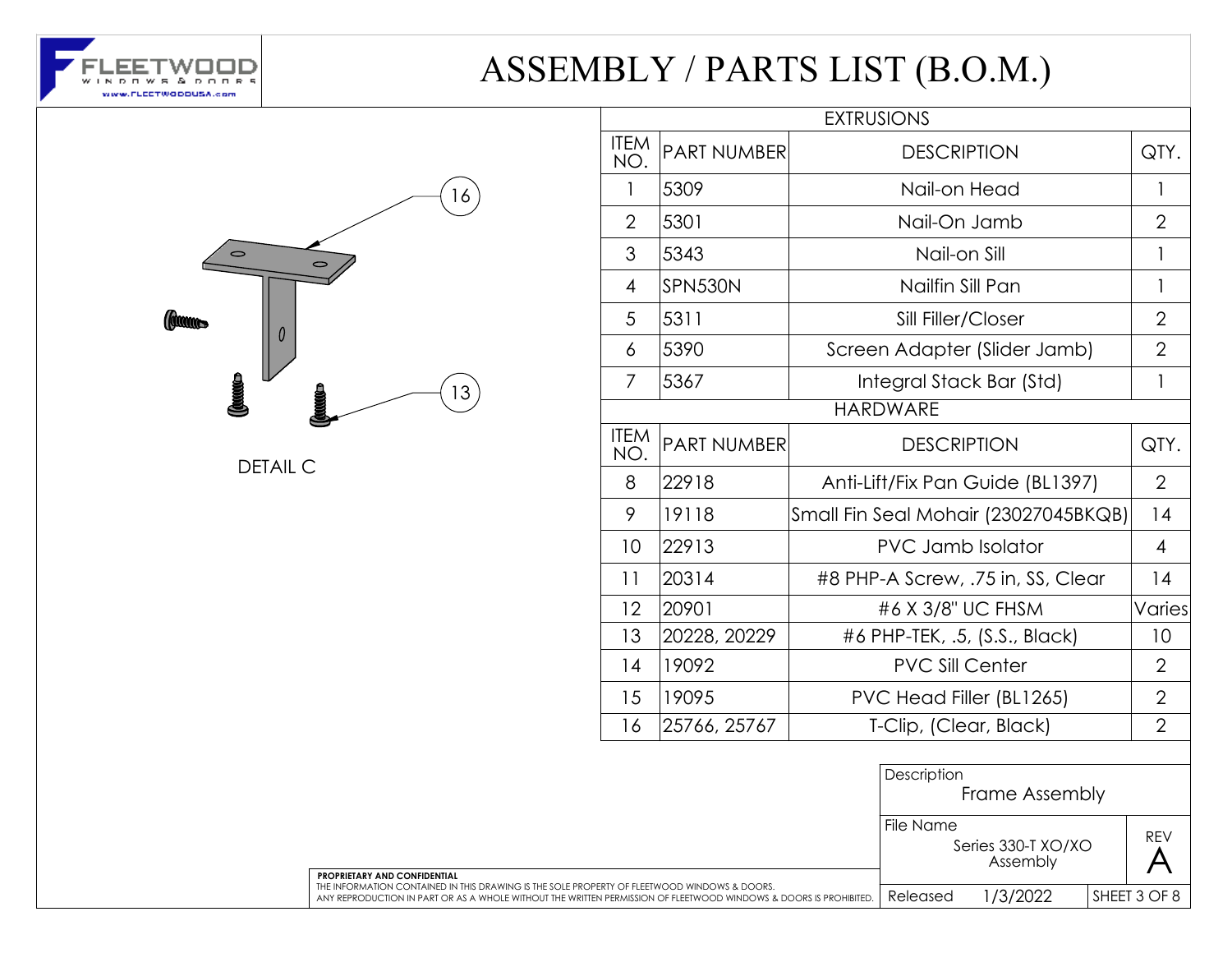



DETAIL C

|                    |                    | <b>EXTRUSIONS</b>                    |                |  |
|--------------------|--------------------|--------------------------------------|----------------|--|
| <b>ITEM</b><br>NO. | <b>PART NUMBER</b> | <b>DESCRIPTION</b>                   |                |  |
| 1                  | 5309               | Nail-on Head                         | 1              |  |
| $\mathfrak{D}$     | 5301               | Nail-On Jamb                         | $\mathcal{P}$  |  |
| 3                  | 5343               | Nail-on Sill                         | 1              |  |
| $\overline{4}$     | SPN530N            | Nailfin Sill Pan                     | 1              |  |
| 5                  | 5311               | Sill Filler/Closer                   | $\overline{2}$ |  |
| 6                  | 5390               | Screen Adapter (Slider Jamb)         | $\overline{2}$ |  |
| 7                  | 5367               | Integral Stack Bar (Std)             | 1              |  |
|                    |                    | <b>HARDWARE</b>                      |                |  |
| <b>ITEM</b><br>NO. | <b>PART NUMBER</b> | <b>DESCRIPTION</b>                   | QTY.           |  |
| 8                  | 22918              | Anti-Lift/Fix Pan Guide (BL1397)     |                |  |
| 9                  | 19118              | Small Fin Seal Mohair (23027045BKQB) |                |  |
| 10                 | 22913              | <b>PVC Jamb Isolator</b>             |                |  |
| 11                 | 20314              | #8 PHP-A Screw, .75 in, SS, Clear    |                |  |
| 12                 | 20901              | #6 X 3/8" UC FHSM                    |                |  |
| 13                 | 20228, 20229       | #6 PHP-TEK, .5, (S.S., Black)        |                |  |
| 14                 | 19092              | <b>PVC Sill Center</b>               |                |  |
| 15                 | 19095              | PVC Head Filler (BL1265)             |                |  |
| 16                 | 25766, 25767       | T-Clip, (Clear, Black)               |                |  |
|                    |                    | Description<br>Frame Assembly        |                |  |

File Name

REV

Series 330-T XO/XO  $\overrightarrow{A}$ SHEET 3 OF 8 **PROPRIETARY AND CONFIDENTIAL** THE INFORMATION CONTAINED IN THIS DRAWING IS THE SOLE PROPERTY OF FLEETWOOD WINDOWS & DOORS. ANY REPRODUCTION IN PART OR AS A WHOLE WITHOUT THE WRITTEN PERMISSION OF FLEETWOOD WINDOWS & DOORS IS PROHIBITED. Released 1/3/2022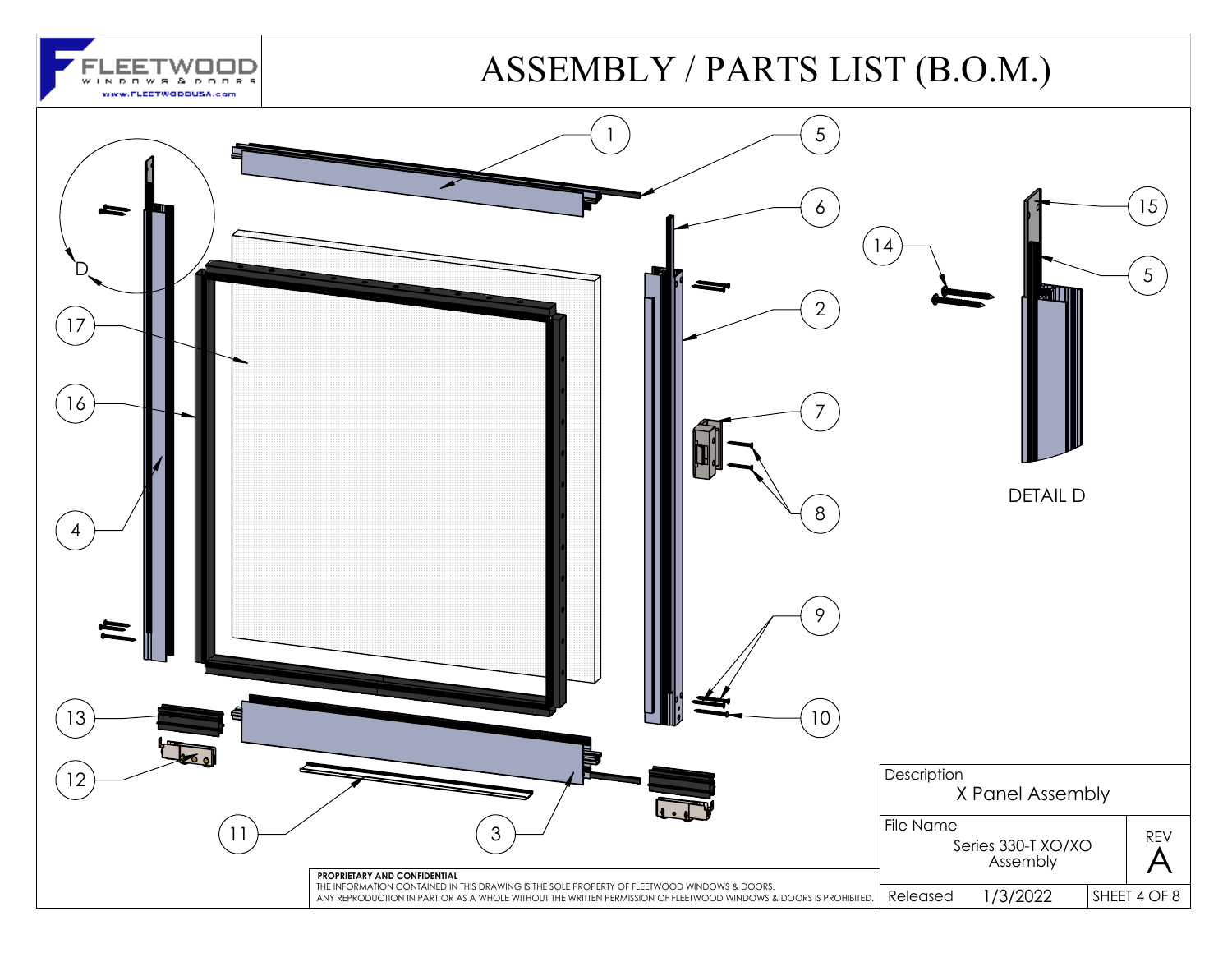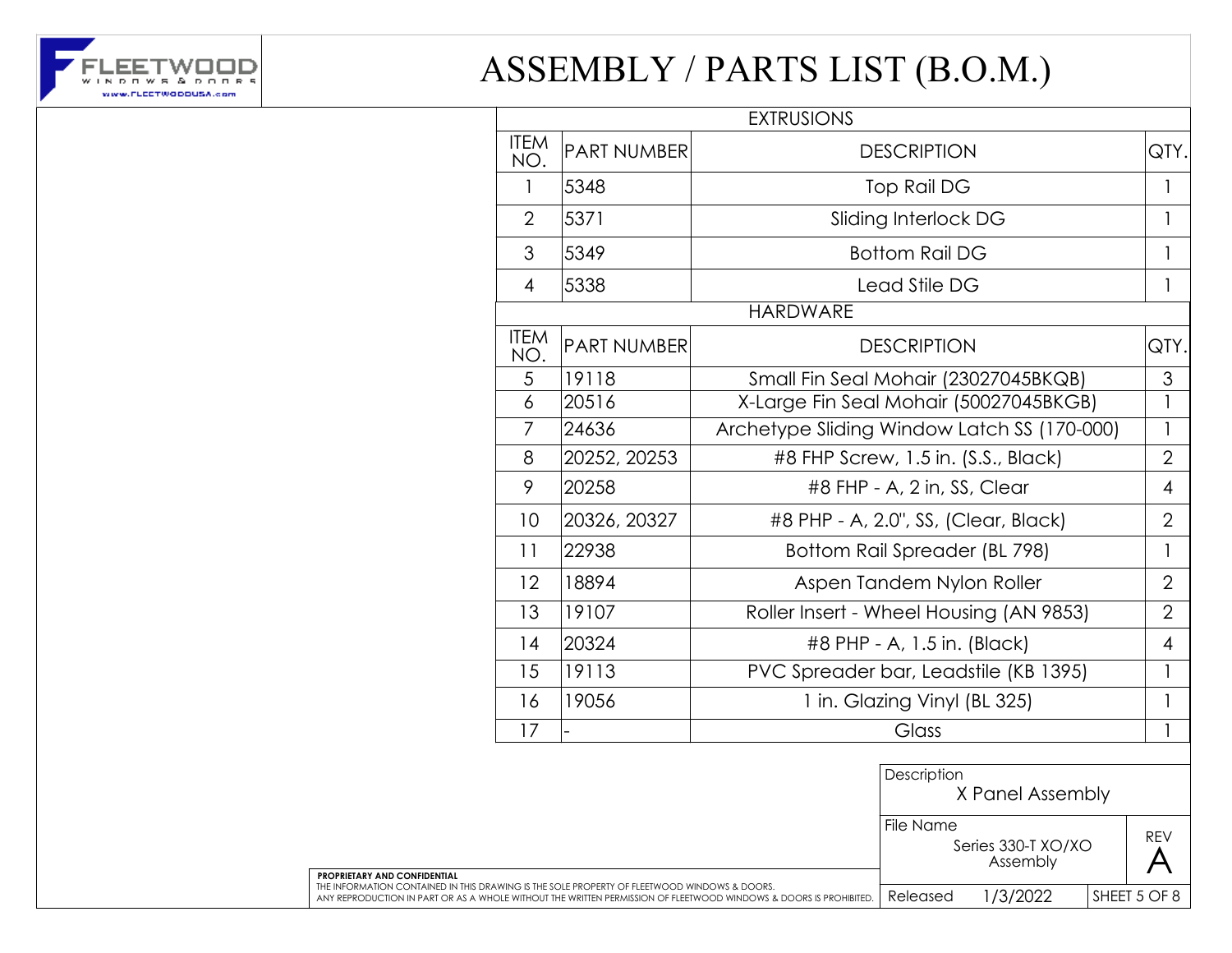

|                    |                    | <b>EXTRUSIONS</b>                           |                |
|--------------------|--------------------|---------------------------------------------|----------------|
| <b>ITEM</b><br>NO. | <b>PART NUMBER</b> | <b>DESCRIPTION</b>                          | QTY.           |
| 1                  | 5348               | Top Rail DG                                 |                |
| $\overline{2}$     | 5371               | Sliding Interlock DG                        |                |
| 3                  | 5349               | <b>Bottom Rail DG</b>                       |                |
| 4                  | 5338               | Lead Stile DG                               | 1              |
|                    |                    | <b>HARDWARE</b>                             |                |
| <b>ITEM</b><br>NO. | <b>PART NUMBER</b> | <b>DESCRIPTION</b>                          | QTY.           |
| 5                  | 19118              | Small Fin Seal Mohair (23027045BKQB)        | 3              |
| 6                  | 20516              | X-Large Fin Seal Mohair (50027045BKGB)      | $\mathbf{1}$   |
| 7                  | 24636              | Archetype Sliding Window Latch SS (170-000) | 1              |
| 8                  | 20252, 20253       | #8 FHP Screw, 1.5 in. (S.S., Black)         | $\overline{2}$ |
| 9                  | 20258              | #8 FHP - A, 2 in, SS, Clear                 | 4              |
| 10                 | 20326, 20327       | #8 PHP - A, 2.0", SS, (Clear, Black)        | $\overline{2}$ |
| 11                 | 22938              | Bottom Rail Spreader (BL 798)               | 1              |
| 12                 | 18894              | Aspen Tandem Nylon Roller                   | $\overline{2}$ |
| 13                 | 19107              | Roller Insert - Wheel Housing (AN 9853)     | $\overline{2}$ |
| 14                 | 20324              | #8 PHP - A, 1.5 in. (Black)                 | 4              |
| 15                 | 19113              | PVC Spreader bar, Leadstile (KB 1395)       | 1              |
| 16                 | 19056              | 1 in. Glazing Vinyl (BL 325)                |                |
| 17                 |                    | Glass                                       |                |

|                                                                                                                                                                                                                                                          | Description<br>X Panel Assembly |                                |  |              |
|----------------------------------------------------------------------------------------------------------------------------------------------------------------------------------------------------------------------------------------------------------|---------------------------------|--------------------------------|--|--------------|
|                                                                                                                                                                                                                                                          | File Name                       | Series 330-T XO/XO<br>Assembly |  | <b>REV</b>   |
| <b>PROPRIETARY AND CONFIDENTIAL</b><br>THE INFORMATION CONTAINED IN THIS DRAWING IS THE SOLE PROPERTY OF FLEETWOOD WINDOWS & DOORS.<br>ANY REPRODUCTION IN PART OR AS A WHOLE WITHOUT THE WRITTEN PERMISSION OF FLEETWOOD WINDOWS & DOORS IS PROHIBITED. | Released                        | /3/2022                        |  | SHEET 5 OF 8 |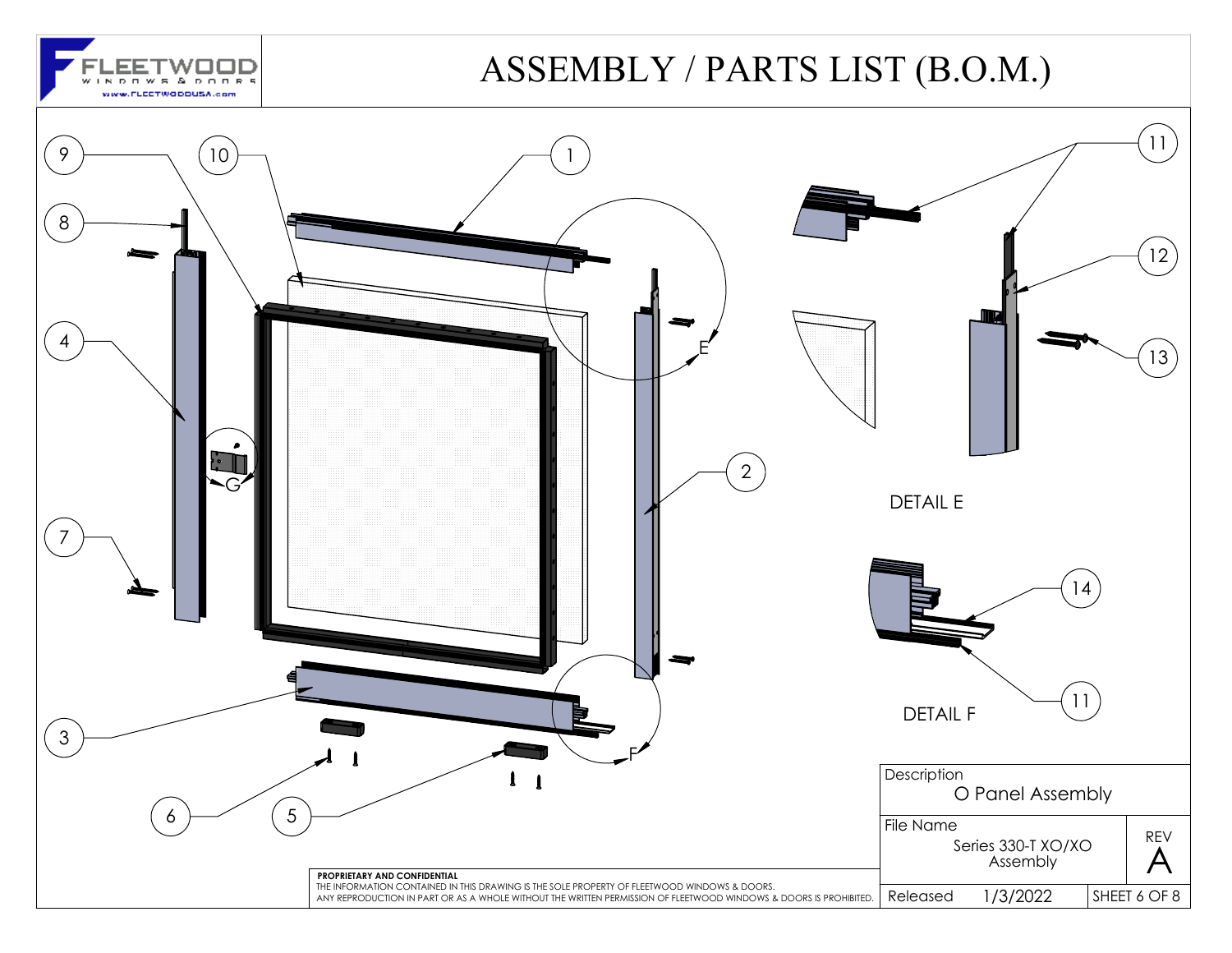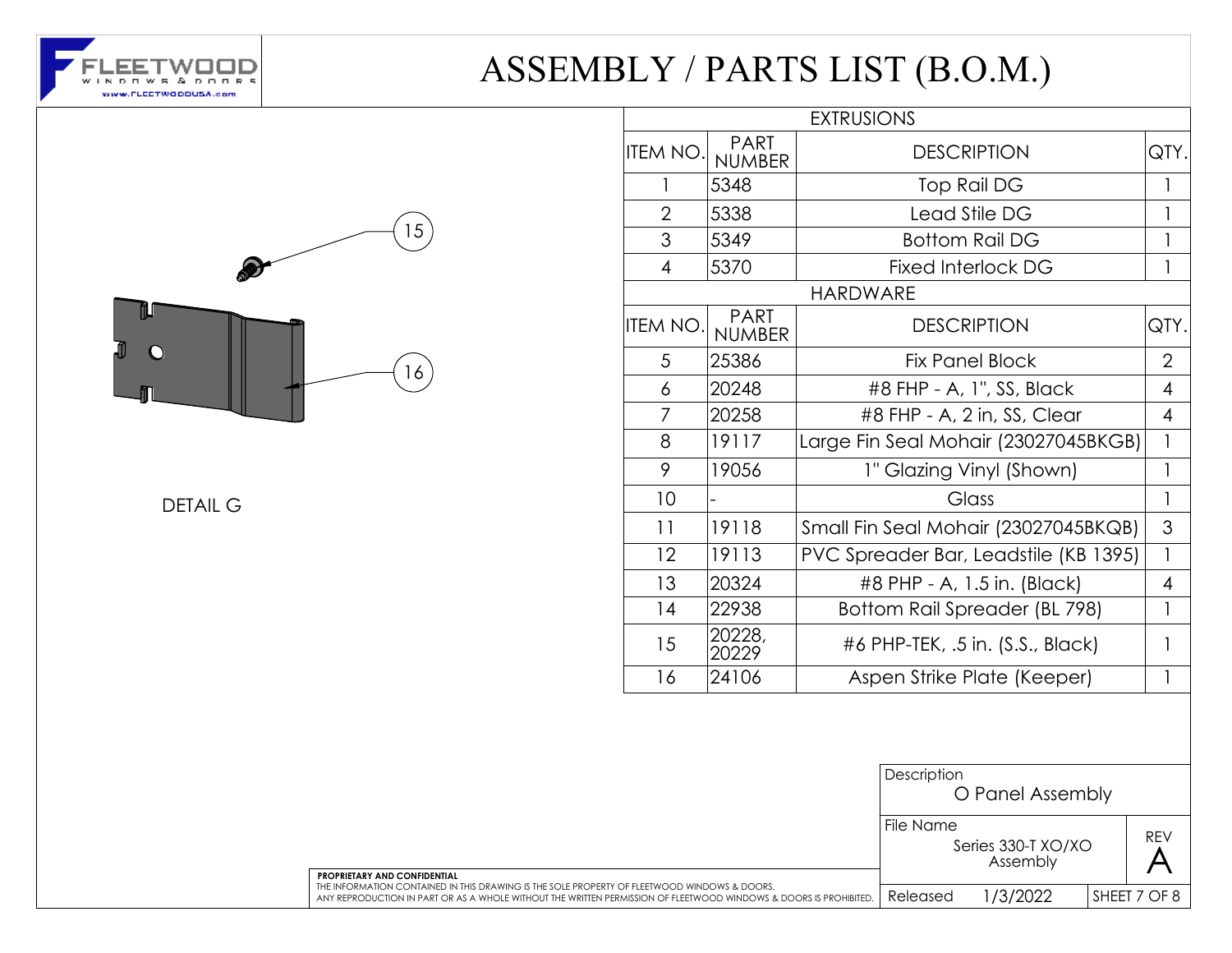



DETAIL G

|                 |                              | <b>EXTRUSIONS</b>                     |                |
|-----------------|------------------------------|---------------------------------------|----------------|
| <b>ITEM NO.</b> | <b>PART</b><br><b>NUMBER</b> | <b>DESCRIPTION</b>                    | QTY.           |
| 1               | 5348                         | Top Rail DG                           | $\mathbf{1}$   |
| $\overline{2}$  | 5338                         | Lead Stile DG                         | 1              |
| 3               | 5349                         | <b>Bottom Rail DG</b>                 |                |
| 4               | 5370                         | <b>Fixed Interlock DG</b>             |                |
|                 |                              | <b>HARDWARE</b>                       |                |
| <b>ITEM NO.</b> | <b>PART</b><br><b>NUMBER</b> | <b>DESCRIPTION</b>                    | QTY.           |
| 5               | 25386                        | <b>Fix Panel Block</b>                | $\overline{2}$ |
| 6               | 20248                        | #8 FHP - A, 1", SS, Black             | 4              |
| 7               | 20258                        | #8 FHP - A, 2 in, SS, Clear           | $\overline{4}$ |
| 8               | 19117                        | Large Fin Seal Mohair (23027045BKGB)  | $\mathbf{1}$   |
| 9               | 19056                        | 1" Glazing Vinyl (Shown)              | $\mathbf{1}$   |
| 10              |                              | Glass                                 | 1              |
| 11              | 19118                        | Small Fin Seal Mohair (23027045BKQB)  | 3              |
| 12              | 19113                        | PVC Spreader Bar, Leadstile (KB 1395) | $\overline{1}$ |
| 13              | 20324                        | #8 PHP - A, 1.5 in. (Black)           | $\overline{4}$ |
| 14              | 22938                        | Bottom Rail Spreader (BL 798)         | 1              |
| 15              | 20228,<br>20229              | #6 PHP-TEK, .5 in. (S.S., Black)      | 1              |
| 16              | 24106                        | Aspen Strike Plate (Keeper)           | 1              |

|                                                                                                                                                                                                                   | Description<br>O Panel Assembly |                                |  |              |
|-------------------------------------------------------------------------------------------------------------------------------------------------------------------------------------------------------------------|---------------------------------|--------------------------------|--|--------------|
| <b>PROPRIETARY AND CONFIDENTIAL</b>                                                                                                                                                                               | File Name                       | Series 330-T XO/XO<br>Assembly |  | <b>REV</b>   |
| THE INFORMATION CONTAINED IN THIS DRAWING IS THE SOLE PROPERTY OF FLEETWOOD WINDOWS & DOORS.<br>ANY REPRODUCTION IN PART OR AS A WHOLE WITHOUT THE WRITTEN PERMISSION OF FLEETWOOD WINDOWS & DOORS IS PROHIBITED. | Released                        | 1/3/2022                       |  | SHEET 7 OF 8 |